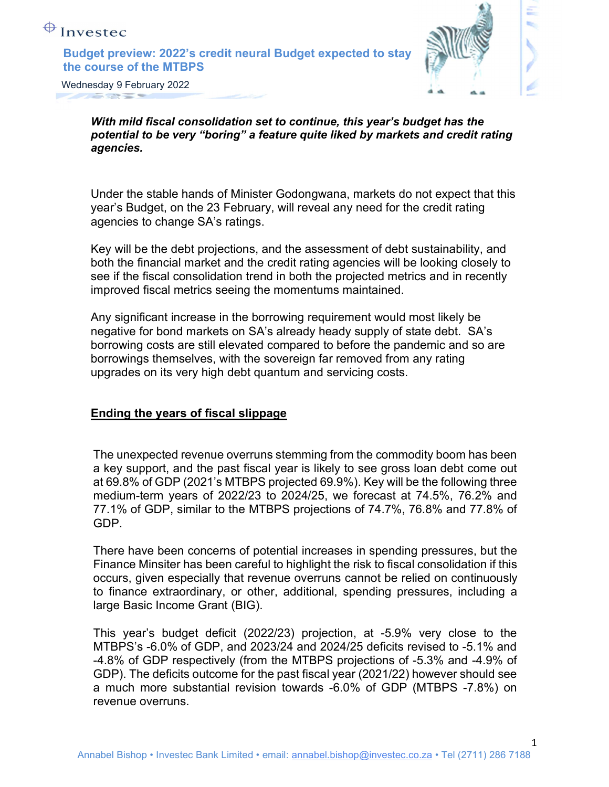



Wednesday 9 February 2022

With mild fiscal consolidation set to continue, this year's budget has the potential to be very "boring" a feature quite liked by markets and credit rating agencies.

Under the stable hands of Minister Godongwana, markets do not expect that this year's Budget, on the 23 February, will reveal any need for the credit rating agencies to change SA's ratings.

Key will be the debt projections, and the assessment of debt sustainability, and both the financial market and the credit rating agencies will be looking closely to see if the fiscal consolidation trend in both the projected metrics and in recently improved fiscal metrics seeing the momentums maintained.

Any significant increase in the borrowing requirement would most likely be negative for bond markets on SA's already heady supply of state debt. SA's borrowing costs are still elevated compared to before the pandemic and so are borrowings themselves, with the sovereign far removed from any rating upgrades on its very high debt quantum and servicing costs.

#### Ending the years of fiscal slippage

The unexpected revenue overruns stemming from the commodity boom has been a key support, and the past fiscal year is likely to see gross loan debt come out at 69.8% of GDP (2021's MTBPS projected 69.9%). Key will be the following three medium-term years of 2022/23 to 2024/25, we forecast at 74.5%, 76.2% and 77.1% of GDP, similar to the MTBPS projections of 74.7%, 76.8% and 77.8% of GDP.

There have been concerns of potential increases in spending pressures, but the Finance Minsiter has been careful to highlight the risk to fiscal consolidation if this occurs, given especially that revenue overruns cannot be relied on continuously to finance extraordinary, or other, additional, spending pressures, including a large Basic Income Grant (BIG).

This year's budget deficit (2022/23) projection, at -5.9% very close to the MTBPS's -6.0% of GDP, and 2023/24 and 2024/25 deficits revised to -5.1% and -4.8% of GDP respectively (from the MTBPS projections of -5.3% and -4.9% of GDP). The deficits outcome for the past fiscal year (2021/22) however should see a much more substantial revision towards -6.0% of GDP (MTBPS -7.8%) on revenue overruns.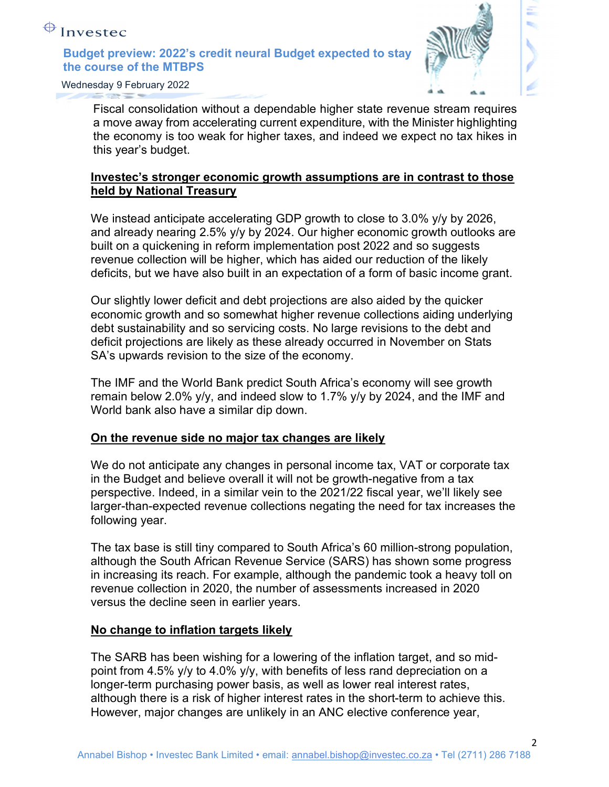

Wednesday 9 February 2022

Fiscal consolidation without a dependable higher state revenue stream requires a move away from accelerating current expenditure, with the Minister highlighting the economy is too weak for higher taxes, and indeed we expect no tax hikes in this year's budget.

# Investec's stronger economic growth assumptions are in contrast to those held by National Treasury

We instead anticipate accelerating GDP growth to close to 3.0% y/y by 2026, and already nearing 2.5% y/y by 2024. Our higher economic growth outlooks are built on a quickening in reform implementation post 2022 and so suggests revenue collection will be higher, which has aided our reduction of the likely deficits, but we have also built in an expectation of a form of basic income grant.

Our slightly lower deficit and debt projections are also aided by the quicker economic growth and so somewhat higher revenue collections aiding underlying debt sustainability and so servicing costs. No large revisions to the debt and deficit projections are likely as these already occurred in November on Stats SA's upwards revision to the size of the economy.

The IMF and the World Bank predict South Africa's economy will see growth remain below 2.0% y/y, and indeed slow to 1.7% y/y by 2024, and the IMF and World bank also have a similar dip down.

### On the revenue side no major tax changes are likely

We do not anticipate any changes in personal income tax, VAT or corporate tax in the Budget and believe overall it will not be growth-negative from a tax perspective. Indeed, in a similar vein to the 2021/22 fiscal year, we'll likely see larger-than-expected revenue collections negating the need for tax increases the following year.

The tax base is still tiny compared to South Africa's 60 million-strong population, although the South African Revenue Service (SARS) has shown some progress in increasing its reach. For example, although the pandemic took a heavy toll on revenue collection in 2020, the number of assessments increased in 2020 versus the decline seen in earlier years.

### No change to inflation targets likely

The SARB has been wishing for a lowering of the inflation target, and so midpoint from 4.5% y/y to 4.0% y/y, with benefits of less rand depreciation on a longer-term purchasing power basis, as well as lower real interest rates, although there is a risk of higher interest rates in the short-term to achieve this. However, major changes are unlikely in an ANC elective conference year,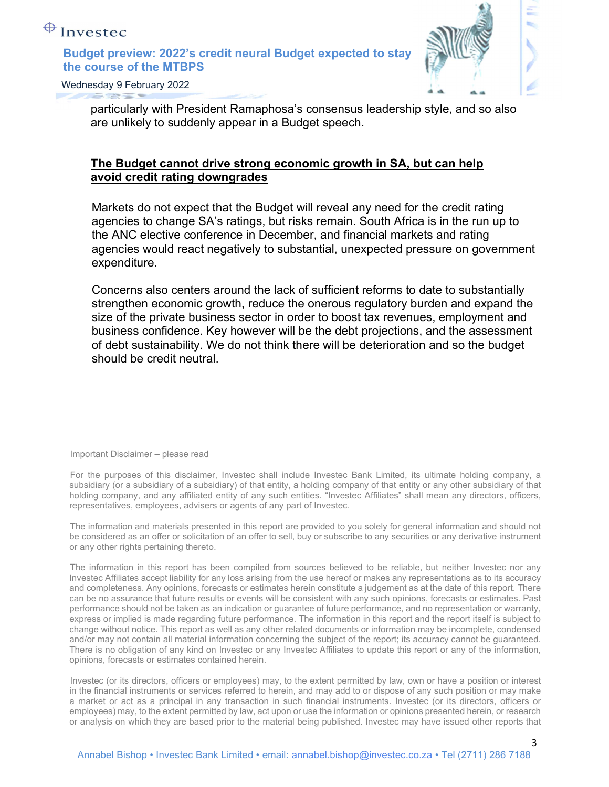

Wednesday 9 February 2022

particularly with President Ramaphosa's consensus leadership style, and so also are unlikely to suddenly appear in a Budget speech.

## The Budget cannot drive strong economic growth in SA, but can help avoid credit rating downgrades

Markets do not expect that the Budget will reveal any need for the credit rating agencies to change SA's ratings, but risks remain. South Africa is in the run up to the ANC elective conference in December, and financial markets and rating agencies would react negatively to substantial, unexpected pressure on government expenditure.

Concerns also centers around the lack of sufficient reforms to date to substantially strengthen economic growth, reduce the onerous regulatory burden and expand the size of the private business sector in order to boost tax revenues, employment and business confidence. Key however will be the debt projections, and the assessment of debt sustainability. We do not think there will be deterioration and so the budget should be credit neutral.

Important Disclaimer – please read

For the purposes of this disclaimer, Investec shall include Investec Bank Limited, its ultimate holding company, a subsidiary (or a subsidiary of a subsidiary) of that entity, a holding company of that entity or any other subsidiary of that holding company, and any affiliated entity of any such entities. "Investec Affiliates" shall mean any directors, officers, representatives, employees, advisers or agents of any part of Investec.

The information and materials presented in this report are provided to you solely for general information and should not be considered as an offer or solicitation of an offer to sell, buy or subscribe to any securities or any derivative instrument or any other rights pertaining thereto.

The information in this report has been compiled from sources believed to be reliable, but neither Investec nor any Investec Affiliates accept liability for any loss arising from the use hereof or makes any representations as to its accuracy and completeness. Any opinions, forecasts or estimates herein constitute a judgement as at the date of this report. There can be no assurance that future results or events will be consistent with any such opinions, forecasts or estimates. Past performance should not be taken as an indication or guarantee of future performance, and no representation or warranty, express or implied is made regarding future performance. The information in this report and the report itself is subject to change without notice. This report as well as any other related documents or information may be incomplete, condensed and/or may not contain all material information concerning the subject of the report; its accuracy cannot be guaranteed. There is no obligation of any kind on Investec or any Investec Affiliates to update this report or any of the information, opinions, forecasts or estimates contained herein.

Investec (or its directors, officers or employees) may, to the extent permitted by law, own or have a position or interest in the financial instruments or services referred to herein, and may add to or dispose of any such position or may make a market or act as a principal in any transaction in such financial instruments. Investec (or its directors, officers or employees) may, to the extent permitted by law, act upon or use the information or opinions presented herein, or research or analysis on which they are based prior to the material being published. Investec may have issued other reports that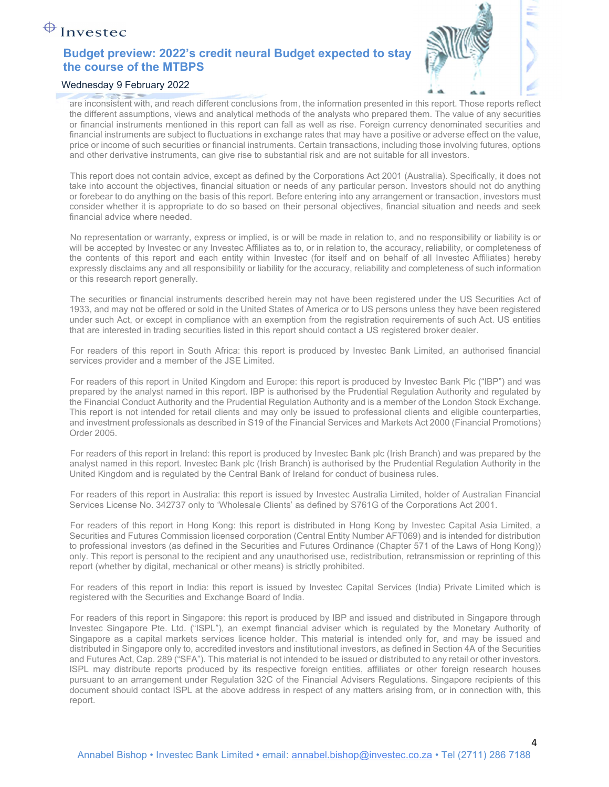

#### Wednesday 9 February 2022

are inconsistent with, and reach different conclusions from, the information presented in this report. Those reports reflect the different assumptions, views and analytical methods of the analysts who prepared them. The value of any securities or financial instruments mentioned in this report can fall as well as rise. Foreign currency denominated securities and financial instruments are subject to fluctuations in exchange rates that may have a positive or adverse effect on the value, price or income of such securities or financial instruments. Certain transactions, including those involving futures, options and other derivative instruments, can give rise to substantial risk and are not suitable for all investors.

This report does not contain advice, except as defined by the Corporations Act 2001 (Australia). Specifically, it does not take into account the objectives, financial situation or needs of any particular person. Investors should not do anything or forebear to do anything on the basis of this report. Before entering into any arrangement or transaction, investors must consider whether it is appropriate to do so based on their personal objectives, financial situation and needs and seek financial advice where needed.

No representation or warranty, express or implied, is or will be made in relation to, and no responsibility or liability is or will be accepted by Investec or any Investec Affiliates as to, or in relation to, the accuracy, reliability, or completeness of the contents of this report and each entity within Investec (for itself and on behalf of all Investec Affiliates) hereby expressly disclaims any and all responsibility or liability for the accuracy, reliability and completeness of such information or this research report generally.

The securities or financial instruments described herein may not have been registered under the US Securities Act of 1933, and may not be offered or sold in the United States of America or to US persons unless they have been registered under such Act, or except in compliance with an exemption from the registration requirements of such Act. US entities that are interested in trading securities listed in this report should contact a US registered broker dealer.

For readers of this report in South Africa: this report is produced by Investec Bank Limited, an authorised financial services provider and a member of the JSE Limited.

For readers of this report in United Kingdom and Europe: this report is produced by Investec Bank Plc ("IBP") and was prepared by the analyst named in this report. IBP is authorised by the Prudential Regulation Authority and regulated by the Financial Conduct Authority and the Prudential Regulation Authority and is a member of the London Stock Exchange. This report is not intended for retail clients and may only be issued to professional clients and eligible counterparties, and investment professionals as described in S19 of the Financial Services and Markets Act 2000 (Financial Promotions) Order 2005.

For readers of this report in Ireland: this report is produced by Investec Bank plc (Irish Branch) and was prepared by the analyst named in this report. Investec Bank plc (Irish Branch) is authorised by the Prudential Regulation Authority in the United Kingdom and is regulated by the Central Bank of Ireland for conduct of business rules.

For readers of this report in Australia: this report is issued by Investec Australia Limited, holder of Australian Financial Services License No. 342737 only to 'Wholesale Clients' as defined by S761G of the Corporations Act 2001.

For readers of this report in Hong Kong: this report is distributed in Hong Kong by Investec Capital Asia Limited, a Securities and Futures Commission licensed corporation (Central Entity Number AFT069) and is intended for distribution to professional investors (as defined in the Securities and Futures Ordinance (Chapter 571 of the Laws of Hong Kong)) only. This report is personal to the recipient and any unauthorised use, redistribution, retransmission or reprinting of this report (whether by digital, mechanical or other means) is strictly prohibited.

For readers of this report in India: this report is issued by Investec Capital Services (India) Private Limited which is registered with the Securities and Exchange Board of India.

For readers of this report in Singapore: this report is produced by IBP and issued and distributed in Singapore through Investec Singapore Pte. Ltd. ("ISPL"), an exempt financial adviser which is regulated by the Monetary Authority of Singapore as a capital markets services licence holder. This material is intended only for, and may be issued and distributed in Singapore only to, accredited investors and institutional investors, as defined in Section 4A of the Securities and Futures Act, Cap. 289 ("SFA"). This material is not intended to be issued or distributed to any retail or other investors. ISPL may distribute reports produced by its respective foreign entities, affiliates or other foreign research houses pursuant to an arrangement under Regulation 32C of the Financial Advisers Regulations. Singapore recipients of this document should contact ISPL at the above address in respect of any matters arising from, or in connection with, this report.